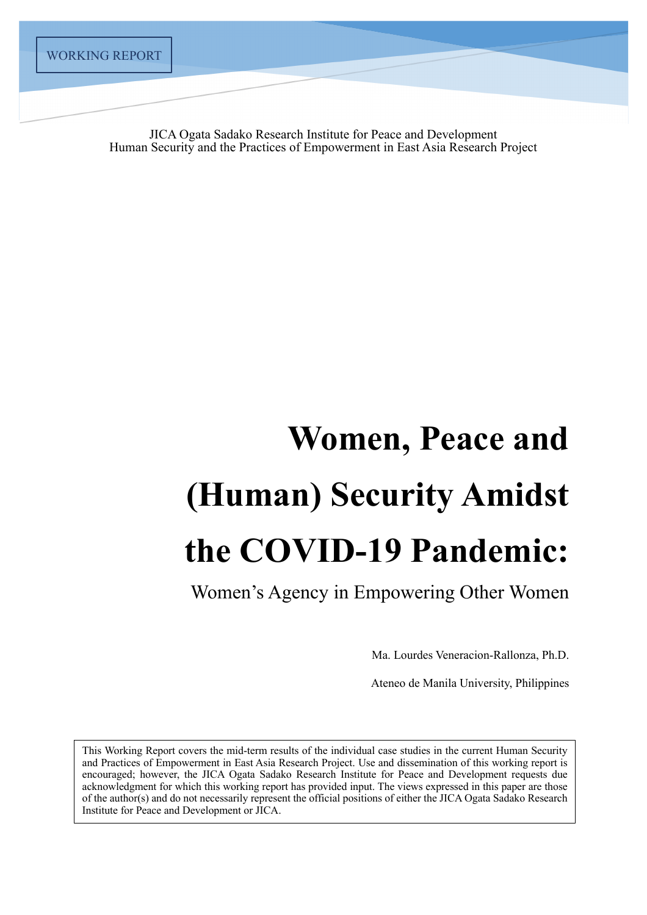JICA Ogata Sadako Research Institute for Peace and Development Human Security and the Practices of Empowerment in East Asia Research Project

# **Women, Peace and (Human) Security Amidst the COVID-19 Pandemic:**

Women's Agency in Empowering Other Women

Ma. Lourdes Veneracion-Rallonza, Ph.D.

Ateneo de Manila University, Philippines

This Working Report covers the mid-term results of the individual case studies in the current Human Security and Practices of Empowerment in East Asia Research Project. Use and dissemination of this working report is encouraged; however, the JICA Ogata Sadako Research Institute for Peace and Development requests due acknowledgment for which this working report has provided input. The views expressed in this paper are those of the author(s) and do not necessarily represent the official positions of either the JICA Ogata Sadako Research Institute for Peace and Development or JICA.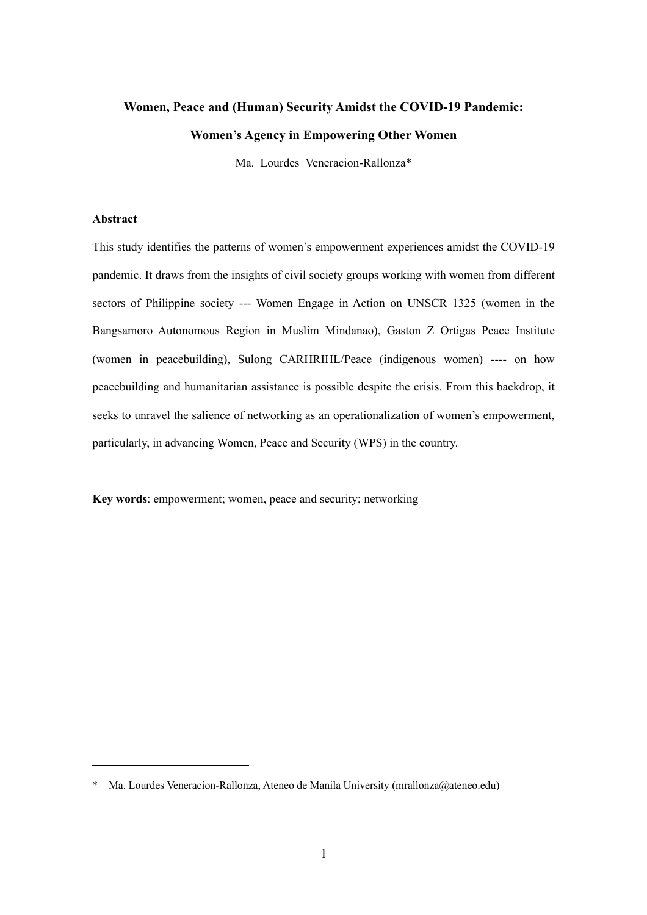# **Women, Peace and (Human) Security Amidst the COVID-19 Pandemic: Women's Agency in Empowering Other Women**

Ma. Lourdes Veneracion-Rallonza\*

## **Abstract**

This study identifies the patterns of women's empowerment experiences amidst the COVID-19 pandemic. It draws from the insights of civil society groups working with women from different sectors of Philippine society --- Women Engage in Action on UNSCR 1325 (women in the Bangsamoro Autonomous Region in Muslim Mindanao), Gaston Z Ortigas Peace Institute (women in peacebuilding), Sulong CARHRIHL/Peace (indigenous women) ---- on how peacebuilding and humanitarian assistance is possible despite the crisis. From this backdrop, it seeks to unravel the salience of networking as an operationalization of women's empowerment, particularly, in advancing Women, Peace and Security (WPS) in the country.

**Key words**: empowerment; women, peace and security; networking

Ma. Lourdes Veneracion-Rallonza, Ateneo de Manila University (mrallonza@ateneo.edu)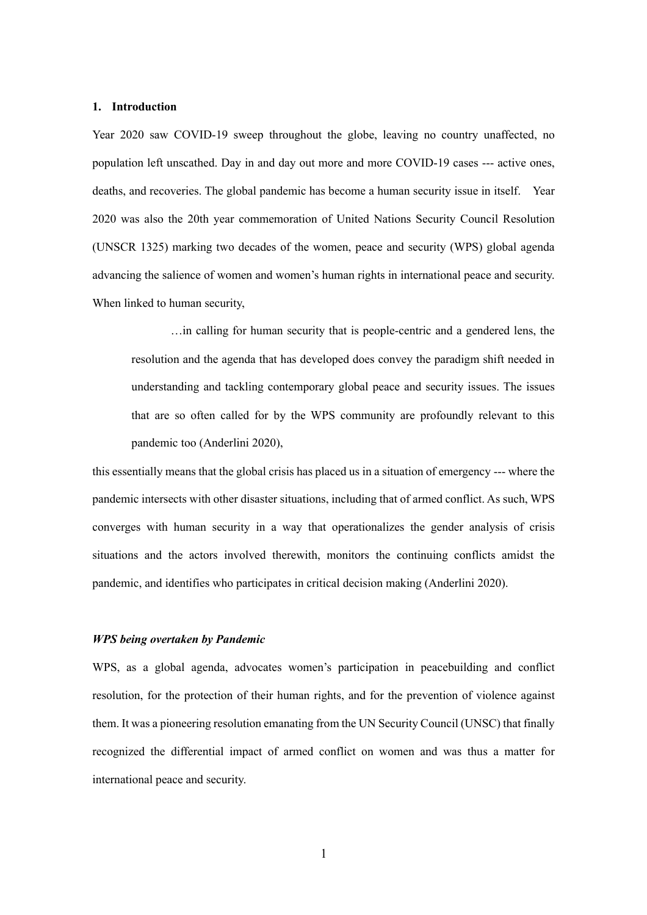## **1. Introduction**

Year 2020 saw COVID-19 sweep throughout the globe, leaving no country unaffected, no population left unscathed. Day in and day out more and more COVID-19 cases --- active ones, deaths, and recoveries. The global pandemic has become a human security issue in itself. Year 2020 was also the 20th year commemoration of United Nations Security Council Resolution (UNSCR 1325) marking two decades of the women, peace and security (WPS) global agenda advancing the salience of women and women's human rights in international peace and security. When linked to human security,

…in calling for human security that is people-centric and a gendered lens, the resolution and the agenda that has developed does convey the paradigm shift needed in understanding and tackling contemporary global peace and security issues. The issues that are so often called for by the WPS community are profoundly relevant to this pandemic too (Anderlini 2020),

this essentially means that the global crisis has placed us in a situation of emergency --- where the pandemic intersects with other disaster situations, including that of armed conflict. As such, WPS converges with human security in a way that operationalizes the gender analysis of crisis situations and the actors involved therewith, monitors the continuing conflicts amidst the pandemic, and identifies who participates in critical decision making (Anderlini 2020).

## *WPS being overtaken by Pandemic*

WPS, as a global agenda, advocates women's participation in peacebuilding and conflict resolution, for the protection of their human rights, and for the prevention of violence against them. It was a pioneering resolution emanating from the UN Security Council (UNSC) that finally recognized the differential impact of armed conflict on women and was thus a matter for international peace and security.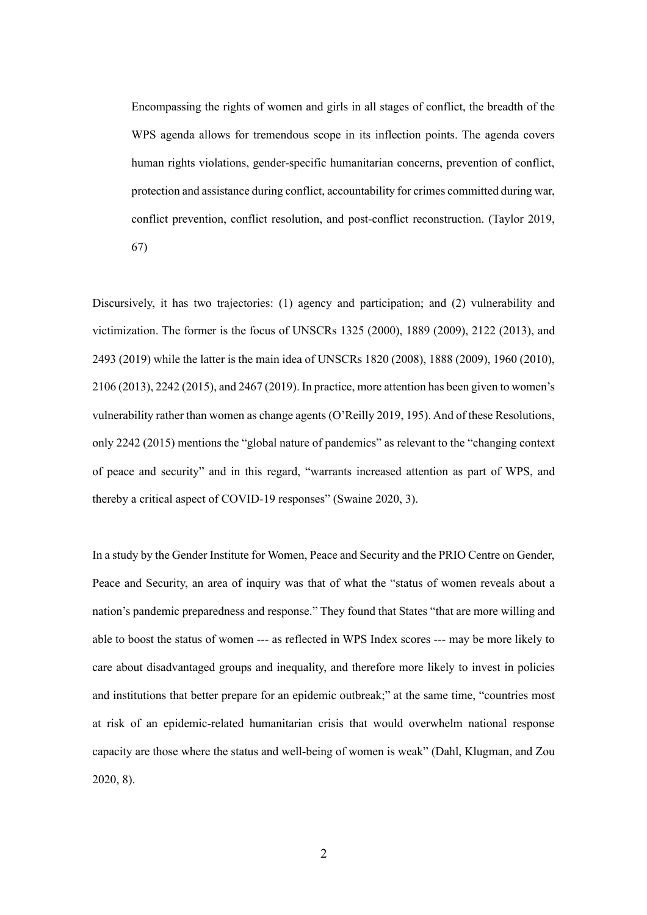Encompassing the rights of women and girls in all stages of conflict, the breadth of the WPS agenda allows for tremendous scope in its inflection points. The agenda covers human rights violations, gender-specific humanitarian concerns, prevention of conflict, protection and assistance during conflict, accountability for crimes committed during war, conflict prevention, conflict resolution, and post-conflict reconstruction. (Taylor 2019, 67)

Discursively, it has two trajectories: (1) agency and participation; and (2) vulnerability and victimization. The former is the focus of UNSCRs 1325 (2000), 1889 (2009), 2122 (2013), and 2493 (2019) while the latter is the main idea of UNSCRs 1820 (2008), 1888 (2009), 1960 (2010), 2106 (2013), 2242 (2015), and 2467 (2019). In practice, more attention has been given to women's vulnerability rather than women as change agents (O'Reilly 2019, 195). And of these Resolutions, only 2242 (2015) mentions the "global nature of pandemics" as relevant to the "changing context of peace and security" and in this regard, "warrants increased attention as part of WPS, and thereby a critical aspect of COVID-19 responses" (Swaine 2020, 3).

In a study by the Gender Institute for Women, Peace and Security and the PRIO Centre on Gender, Peace and Security, an area of inquiry was that of what the "status of women reveals about a nation's pandemic preparedness and response." They found that States "that are more willing and able to boost the status of women --- as reflected in WPS Index scores --- may be more likely to care about disadvantaged groups and inequality, and therefore more likely to invest in policies and institutions that better prepare for an epidemic outbreak;" at the same time, "countries most at risk of an epidemic-related humanitarian crisis that would overwhelm national response capacity are those where the status and well-being of women is weak" (Dahl, Klugman, and Zou 2020, 8).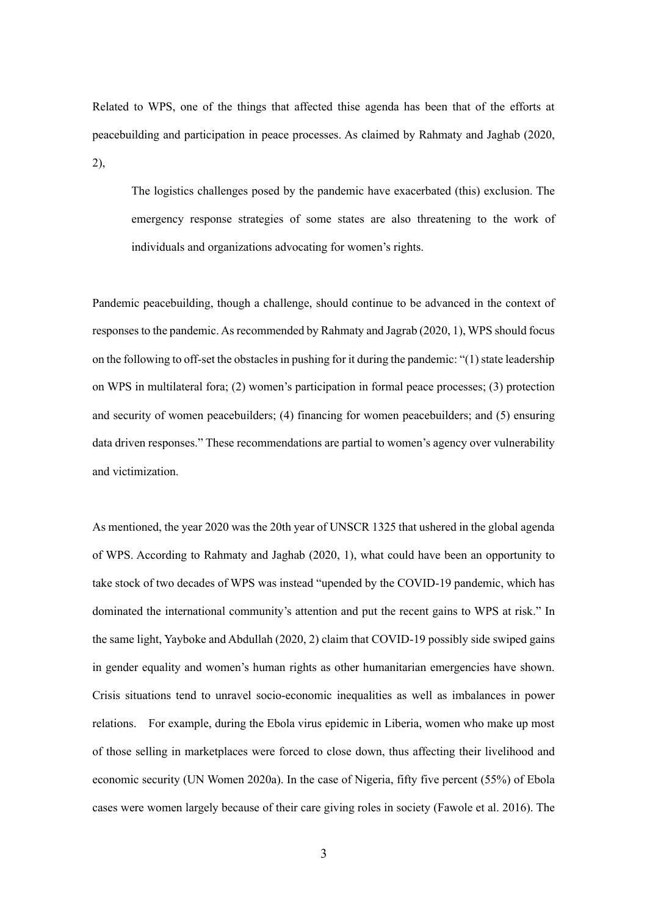Related to WPS, one of the things that affected thise agenda has been that of the efforts at peacebuilding and participation in peace processes. As claimed by Rahmaty and Jaghab (2020, 2),

The logistics challenges posed by the pandemic have exacerbated (this) exclusion. The emergency response strategies of some states are also threatening to the work of individuals and organizations advocating for women's rights.

Pandemic peacebuilding, though a challenge, should continue to be advanced in the context of responses to the pandemic. As recommended by Rahmaty and Jagrab (2020, 1), WPS should focus on the following to off-set the obstacles in pushing for it during the pandemic: "(1) state leadership on WPS in multilateral fora; (2) women's participation in formal peace processes; (3) protection and security of women peacebuilders; (4) financing for women peacebuilders; and (5) ensuring data driven responses." These recommendations are partial to women's agency over vulnerability and victimization.

As mentioned, the year 2020 was the 20th year of UNSCR 1325 that ushered in the global agenda of WPS. According to Rahmaty and Jaghab (2020, 1), what could have been an opportunity to take stock of two decades of WPS was instead "upended by the COVID-19 pandemic, which has dominated the international community's attention and put the recent gains to WPS at risk." In the same light, Yayboke and Abdullah (2020, 2) claim that COVID-19 possibly side swiped gains in gender equality and women's human rights as other humanitarian emergencies have shown. Crisis situations tend to unravel socio-economic inequalities as well as imbalances in power relations. For example, during the Ebola virus epidemic in Liberia, women who make up most of those selling in marketplaces were forced to close down, thus affecting their livelihood and economic security (UN Women 2020a). In the case of Nigeria, fifty five percent (55%) of Ebola cases were women largely because of their care giving roles in society (Fawole et al. 2016). The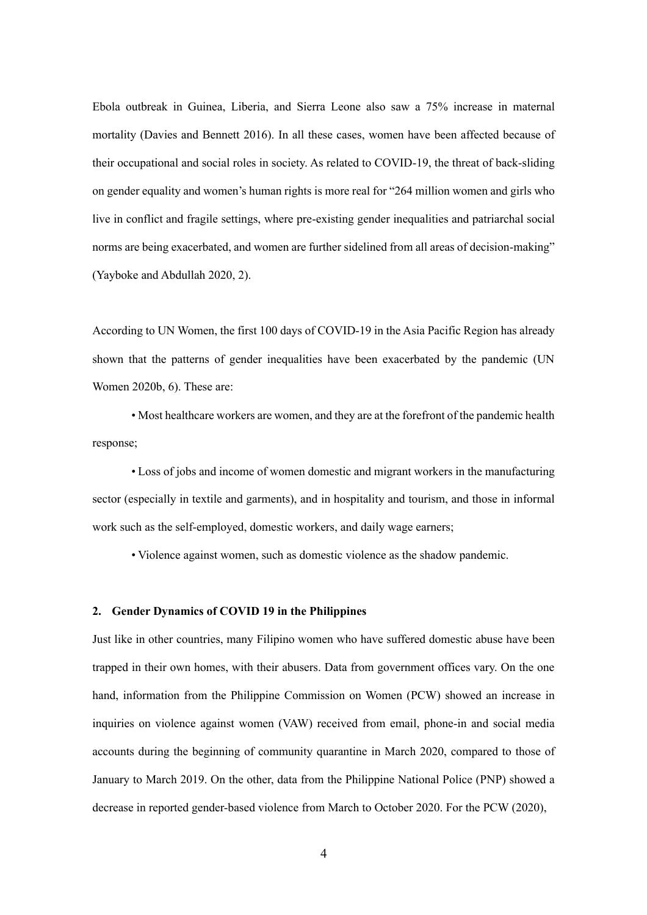Ebola outbreak in Guinea, Liberia, and Sierra Leone also saw a 75% increase in maternal mortality (Davies and Bennett 2016). In all these cases, women have been affected because of their occupational and social roles in society. As related to COVID-19, the threat of back-sliding on gender equality and women's human rights is more real for "264 million women and girls who live in conflict and fragile settings, where pre-existing gender inequalities and patriarchal social norms are being exacerbated, and women are further sidelined from all areas of decision-making" (Yayboke and Abdullah 2020, 2).

According to UN Women, the first 100 days of COVID-19 in the Asia Pacific Region has already shown that the patterns of gender inequalities have been exacerbated by the pandemic (UN Women 2020b, 6). These are:

• Most healthcare workers are women, and they are at the forefront of the pandemic health response;

• Loss of jobs and income of women domestic and migrant workers in the manufacturing sector (especially in textile and garments), and in hospitality and tourism, and those in informal work such as the self-employed, domestic workers, and daily wage earners;

• Violence against women, such as domestic violence as the shadow pandemic.

## **2. Gender Dynamics of COVID 19 in the Philippines**

Just like in other countries, many Filipino women who have suffered domestic abuse have been trapped in their own homes, with their abusers. Data from government offices vary. On the one hand, information from the Philippine Commission on Women (PCW) showed an increase in inquiries on violence against women (VAW) received from email, phone-in and social media accounts during the beginning of community quarantine in March 2020, compared to those of January to March 2019. On the other, data from the Philippine National Police (PNP) showed a decrease in reported gender-based violence from March to October 2020. For the PCW (2020),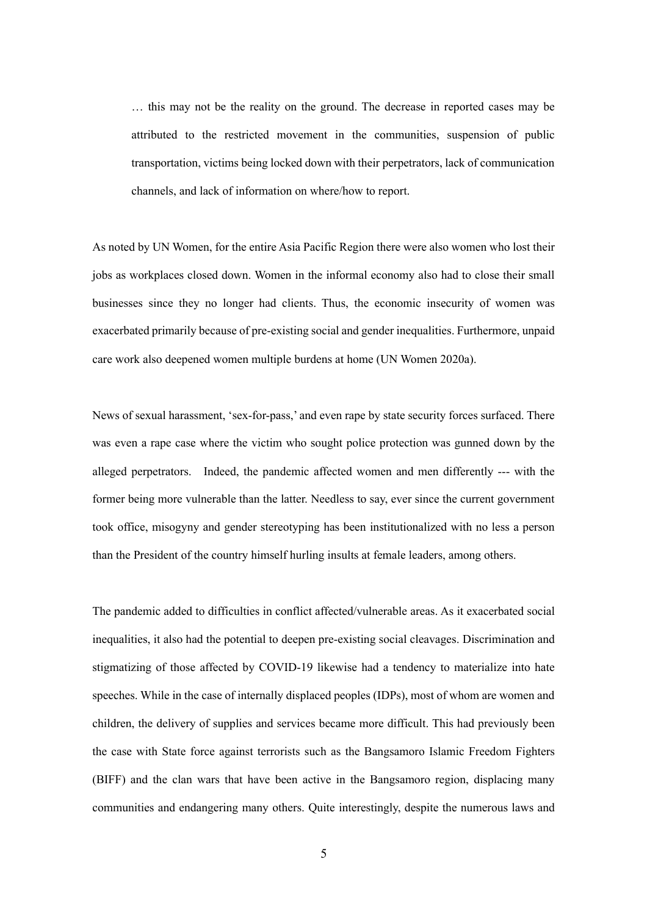… this may not be the reality on the ground. The decrease in reported cases may be attributed to the restricted movement in the communities, suspension of public transportation, victims being locked down with their perpetrators, lack of communication channels, and lack of information on where/how to report.

As noted by UN Women, for the entire Asia Pacific Region there were also women who lost their jobs as workplaces closed down. Women in the informal economy also had to close their small businesses since they no longer had clients. Thus, the economic insecurity of women was exacerbated primarily because of pre-existing social and gender inequalities. Furthermore, unpaid care work also deepened women multiple burdens at home (UN Women 2020a).

News of sexual harassment, 'sex-for-pass,' and even rape by state security forces surfaced. There was even a rape case where the victim who sought police protection was gunned down by the alleged perpetrators. Indeed, the pandemic affected women and men differently --- with the former being more vulnerable than the latter. Needless to say, ever since the current government took office, misogyny and gender stereotyping has been institutionalized with no less a person than the President of the country himself hurling insults at female leaders, among others.

The pandemic added to difficulties in conflict affected/vulnerable areas. As it exacerbated social inequalities, it also had the potential to deepen pre-existing social cleavages. Discrimination and stigmatizing of those affected by COVID-19 likewise had a tendency to materialize into hate speeches. While in the case of internally displaced peoples (IDPs), most of whom are women and children, the delivery of supplies and services became more difficult. This had previously been the case with State force against terrorists such as the Bangsamoro Islamic Freedom Fighters (BIFF) and the clan wars that have been active in the Bangsamoro region, displacing many communities and endangering many others. Quite interestingly, despite the numerous laws and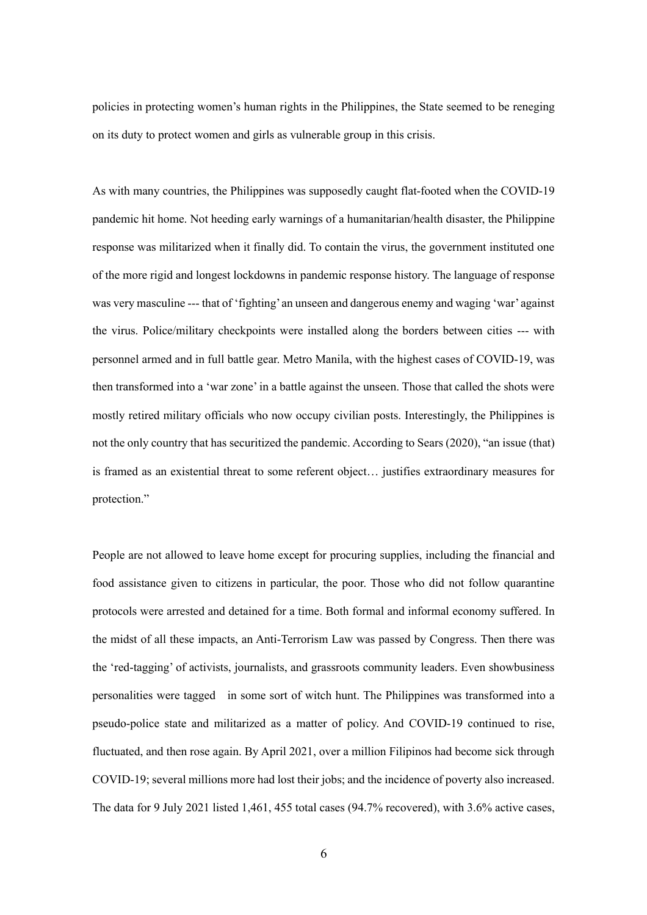policies in protecting women's human rights in the Philippines, the State seemed to be reneging on its duty to protect women and girls as vulnerable group in this crisis.

As with many countries, the Philippines was supposedly caught flat-footed when the COVID-19 pandemic hit home. Not heeding early warnings of a humanitarian/health disaster, the Philippine response was militarized when it finally did. To contain the virus, the government instituted one of the more rigid and longest lockdowns in pandemic response history. The language of response was very masculine --- that of 'fighting' an unseen and dangerous enemy and waging 'war' against the virus. Police/military checkpoints were installed along the borders between cities --- with personnel armed and in full battle gear. Metro Manila, with the highest cases of COVID-19, was then transformed into a 'war zone' in a battle against the unseen. Those that called the shots were mostly retired military officials who now occupy civilian posts. Interestingly, the Philippines is not the only country that has securitized the pandemic. According to Sears (2020), "an issue (that) is framed as an existential threat to some referent object… justifies extraordinary measures for protection."

People are not allowed to leave home except for procuring supplies, including the financial and food assistance given to citizens in particular, the poor. Those who did not follow quarantine protocols were arrested and detained for a time. Both formal and informal economy suffered. In the midst of all these impacts, an Anti-Terrorism Law was passed by Congress. Then there was the 'red-tagging' of activists, journalists, and grassroots community leaders. Even showbusiness personalities were tagged in some sort of witch hunt. The Philippines was transformed into a pseudo-police state and militarized as a matter of policy. And COVID-19 continued to rise, fluctuated, and then rose again. By April 2021, over a million Filipinos had become sick through COVID-19; several millions more had lost their jobs; and the incidence of poverty also increased. The data for 9 July 2021 listed 1,461, 455 total cases (94.7% recovered), with 3.6% active cases,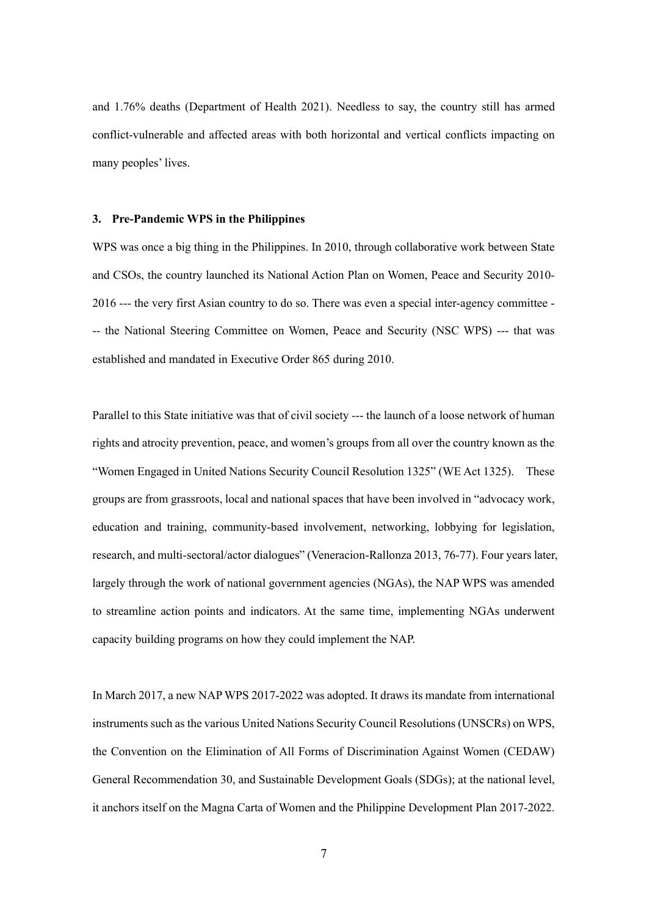and 1.76% deaths (Department of Health 2021). Needless to say, the country still has armed conflict-vulnerable and affected areas with both horizontal and vertical conflicts impacting on many peoples' lives.

## **3. Pre-Pandemic WPS in the Philippines**

WPS was once a big thing in the Philippines. In 2010, through collaborative work between State and CSOs, the country launched its National Action Plan on Women, Peace and Security 2010- 2016 --- the very first Asian country to do so. There was even a special inter-agency committee - -- the National Steering Committee on Women, Peace and Security (NSC WPS) --- that was established and mandated in Executive Order 865 during 2010.

Parallel to this State initiative was that of civil society --- the launch of a loose network of human rights and atrocity prevention, peace, and women's groups from all over the country known as the "Women Engaged in United Nations Security Council Resolution 1325" (WE Act 1325). These groups are from grassroots, local and national spaces that have been involved in "advocacy work, education and training, community-based involvement, networking, lobbying for legislation, research, and multi-sectoral/actor dialogues" (Veneracion-Rallonza 2013, 76-77). Four years later, largely through the work of national government agencies (NGAs), the NAP WPS was amended to streamline action points and indicators. At the same time, implementing NGAs underwent capacity building programs on how they could implement the NAP.

In March 2017, a new NAP WPS 2017-2022 was adopted. It draws its mandate from international instruments such as the various United Nations Security Council Resolutions (UNSCRs) on WPS, the Convention on the Elimination of All Forms of Discrimination Against Women (CEDAW) General Recommendation 30, and Sustainable Development Goals (SDGs); at the national level, it anchors itself on the Magna Carta of Women and the Philippine Development Plan 2017-2022.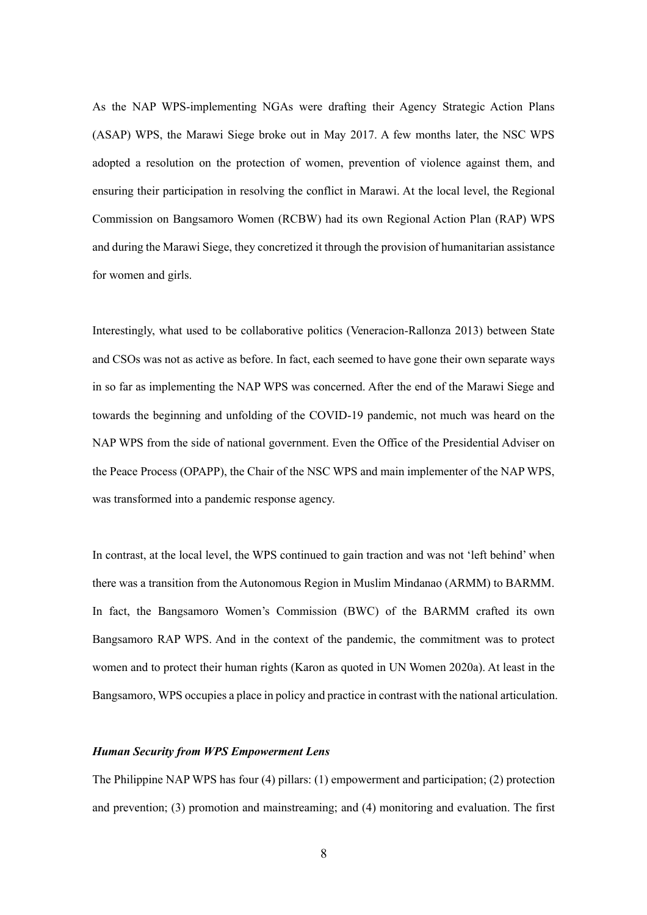As the NAP WPS-implementing NGAs were drafting their Agency Strategic Action Plans (ASAP) WPS, the Marawi Siege broke out in May 2017. A few months later, the NSC WPS adopted a resolution on the protection of women, prevention of violence against them, and ensuring their participation in resolving the conflict in Marawi. At the local level, the Regional Commission on Bangsamoro Women (RCBW) had its own Regional Action Plan (RAP) WPS and during the Marawi Siege, they concretized it through the provision of humanitarian assistance for women and girls.

Interestingly, what used to be collaborative politics (Veneracion-Rallonza 2013) between State and CSOs was not as active as before. In fact, each seemed to have gone their own separate ways in so far as implementing the NAP WPS was concerned. After the end of the Marawi Siege and towards the beginning and unfolding of the COVID-19 pandemic, not much was heard on the NAP WPS from the side of national government. Even the Office of the Presidential Adviser on the Peace Process (OPAPP), the Chair of the NSC WPS and main implementer of the NAP WPS, was transformed into a pandemic response agency.

In contrast, at the local level, the WPS continued to gain traction and was not 'left behind' when there was a transition from the Autonomous Region in Muslim Mindanao (ARMM) to BARMM. In fact, the Bangsamoro Women's Commission (BWC) of the BARMM crafted its own Bangsamoro RAP WPS. And in the context of the pandemic, the commitment was to protect women and to protect their human rights (Karon as quoted in UN Women 2020a). At least in the Bangsamoro, WPS occupies a place in policy and practice in contrast with the national articulation.

## *Human Security from WPS Empowerment Lens*

The Philippine NAP WPS has four (4) pillars: (1) empowerment and participation; (2) protection and prevention; (3) promotion and mainstreaming; and (4) monitoring and evaluation. The first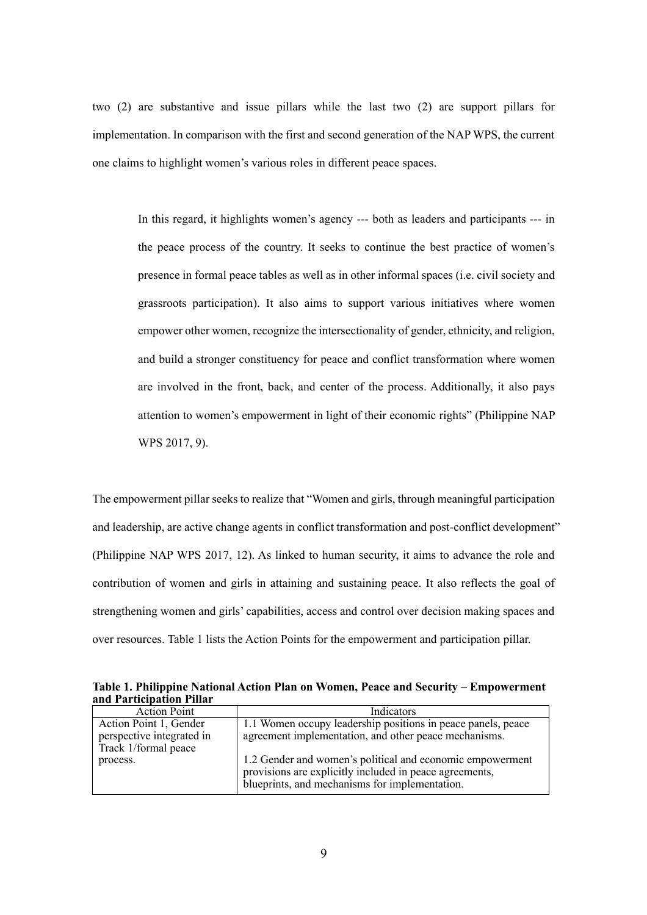two (2) are substantive and issue pillars while the last two (2) are support pillars for implementation. In comparison with the first and second generation of the NAP WPS, the current one claims to highlight women's various roles in different peace spaces.

In this regard, it highlights women's agency --- both as leaders and participants --- in the peace process of the country. It seeks to continue the best practice of women's presence in formal peace tables as well as in other informal spaces (i.e. civil society and grassroots participation). It also aims to support various initiatives where women empower other women, recognize the intersectionality of gender, ethnicity, and religion, and build a stronger constituency for peace and conflict transformation where women are involved in the front, back, and center of the process. Additionally, it also pays attention to women's empowerment in light of their economic rights" (Philippine NAP WPS 2017, 9).

The empowerment pillar seeks to realize that "Women and girls, through meaningful participation and leadership, are active change agents in conflict transformation and post-conflict development" (Philippine NAP WPS 2017, 12). As linked to human security, it aims to advance the role and contribution of women and girls in attaining and sustaining peace. It also reflects the goal of strengthening women and girls' capabilities, access and control over decision making spaces and over resources. Table 1 lists the Action Points for the empowerment and participation pillar.

**Table 1. Philippine National Action Plan on Women, Peace and Security – Empowerment and Participation Pillar**

| <b>Action Point</b>       | <b>Indicators</b>                                            |
|---------------------------|--------------------------------------------------------------|
| Action Point 1, Gender    | 1.1 Women occupy leadership positions in peace panels, peace |
| perspective integrated in | agreement implementation, and other peace mechanisms.        |
| Track 1/formal peace      |                                                              |
| process.                  | 1.2 Gender and women's political and economic empowerment    |
|                           | provisions are explicitly included in peace agreements,      |
|                           | blueprints, and mechanisms for implementation.               |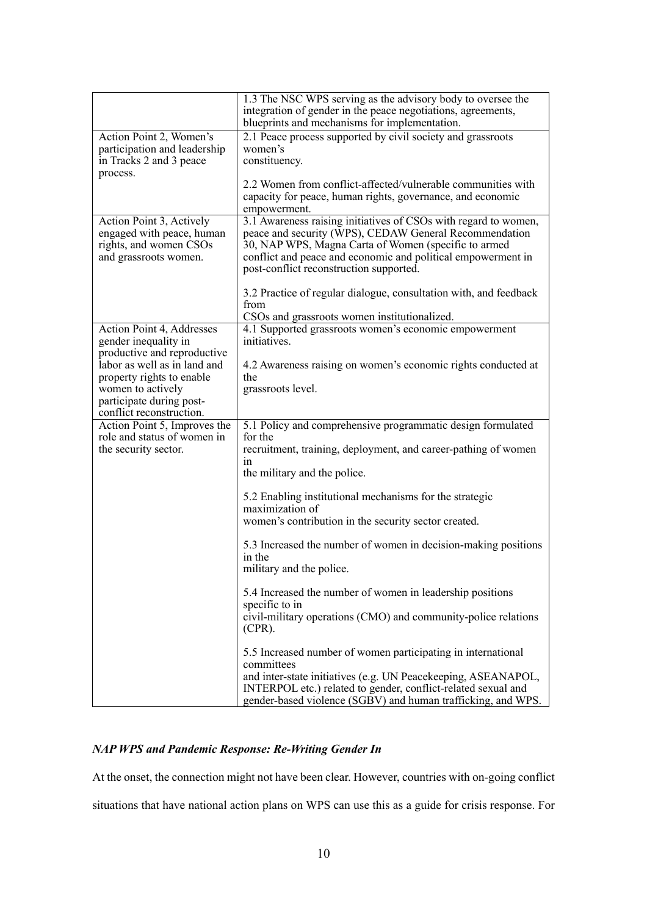|                                                       | 1.3 The NSC WPS serving as the advisory body to oversee the<br>integration of gender in the peace negotiations, agreements,<br>blueprints and mechanisms for implementation. |
|-------------------------------------------------------|------------------------------------------------------------------------------------------------------------------------------------------------------------------------------|
| Action Point 2, Women's                               | 2.1 Peace process supported by civil society and grassroots                                                                                                                  |
| participation and leadership                          | women's                                                                                                                                                                      |
| in Tracks 2 and 3 peace                               | constituency.                                                                                                                                                                |
| process.                                              |                                                                                                                                                                              |
|                                                       | 2.2 Women from conflict-affected/vulnerable communities with                                                                                                                 |
|                                                       | capacity for peace, human rights, governance, and economic                                                                                                                   |
|                                                       | empowerment.                                                                                                                                                                 |
| Action Point 3, Actively<br>engaged with peace, human | 3.1 Awareness raising initiatives of CSOs with regard to women,                                                                                                              |
| rights, and women CSOs                                | peace and security (WPS), CEDAW General Recommendation<br>30, NAP WPS, Magna Carta of Women (specific to armed                                                               |
| and grassroots women.                                 | conflict and peace and economic and political empowerment in                                                                                                                 |
|                                                       | post-conflict reconstruction supported.                                                                                                                                      |
|                                                       |                                                                                                                                                                              |
|                                                       | 3.2 Practice of regular dialogue, consultation with, and feedback                                                                                                            |
|                                                       | from                                                                                                                                                                         |
|                                                       | CSOs and grassroots women institutionalized.                                                                                                                                 |
| Action Point 4, Addresses                             | 4.1 Supported grassroots women's economic empowerment                                                                                                                        |
| gender inequality in<br>productive and reproductive   | initiatives.                                                                                                                                                                 |
| labor as well as in land and                          | 4.2 Awareness raising on women's economic rights conducted at                                                                                                                |
| property rights to enable                             | the                                                                                                                                                                          |
| women to actively                                     | grassroots level.                                                                                                                                                            |
| participate during post-                              |                                                                                                                                                                              |
| conflict reconstruction.                              |                                                                                                                                                                              |
| Action Point 5, Improves the                          | 5.1 Policy and comprehensive programmatic design formulated                                                                                                                  |
| role and status of women in                           | for the                                                                                                                                                                      |
| the security sector.                                  | recruitment, training, deployment, and career-pathing of women                                                                                                               |
|                                                       | 1n<br>the military and the police.                                                                                                                                           |
|                                                       |                                                                                                                                                                              |
|                                                       | 5.2 Enabling institutional mechanisms for the strategic                                                                                                                      |
|                                                       | maximization of                                                                                                                                                              |
|                                                       | women's contribution in the security sector created.                                                                                                                         |
|                                                       | 5.3 Increased the number of women in decision-making positions                                                                                                               |
|                                                       | in the                                                                                                                                                                       |
|                                                       | military and the police.                                                                                                                                                     |
|                                                       |                                                                                                                                                                              |
|                                                       | 5.4 Increased the number of women in leadership positions                                                                                                                    |
|                                                       | specific to in                                                                                                                                                               |
|                                                       | civil-military operations (CMO) and community-police relations<br>$(CPR)$ .                                                                                                  |
|                                                       | 5.5 Increased number of women participating in international                                                                                                                 |
|                                                       | committees                                                                                                                                                                   |
|                                                       | and inter-state initiatives (e.g. UN Peacekeeping, ASEANAPOL,                                                                                                                |
|                                                       | INTERPOL etc.) related to gender, conflict-related sexual and                                                                                                                |
|                                                       | gender-based violence (SGBV) and human trafficking, and WPS.                                                                                                                 |

## *NAP WPS and Pandemic Response: Re-Writing Gender In*

At the onset, the connection might not have been clear. However, countries with on-going conflict situations that have national action plans on WPS can use this as a guide for crisis response. For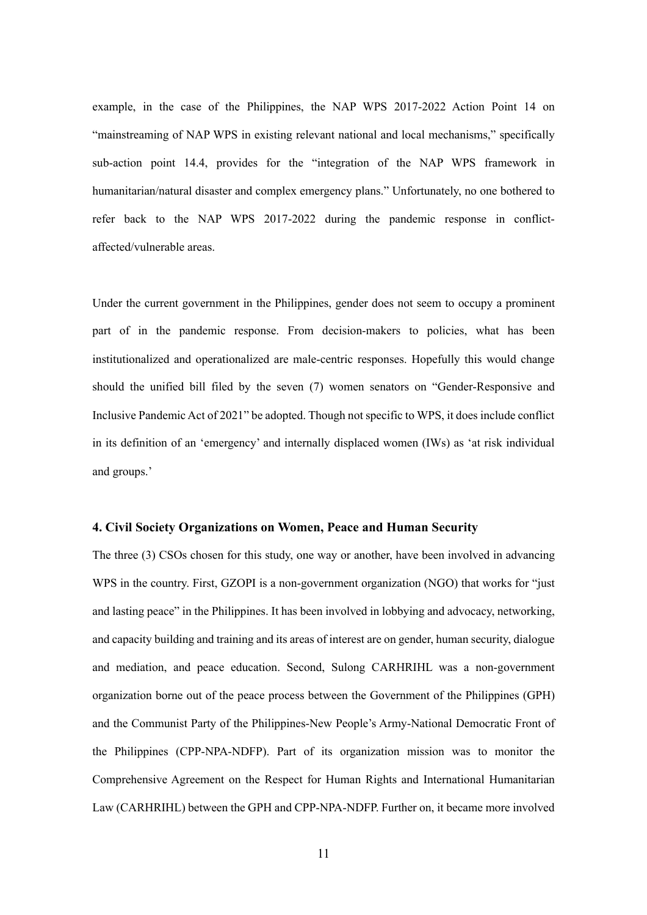example, in the case of the Philippines, the NAP WPS 2017-2022 Action Point 14 on "mainstreaming of NAP WPS in existing relevant national and local mechanisms," specifically sub-action point 14.4, provides for the "integration of the NAP WPS framework in humanitarian/natural disaster and complex emergency plans." Unfortunately, no one bothered to refer back to the NAP WPS 2017-2022 during the pandemic response in conflictaffected/vulnerable areas.

Under the current government in the Philippines, gender does not seem to occupy a prominent part of in the pandemic response. From decision-makers to policies, what has been institutionalized and operationalized are male-centric responses. Hopefully this would change should the unified bill filed by the seven (7) women senators on "Gender-Responsive and Inclusive Pandemic Act of 2021" be adopted. Though not specific to WPS, it does include conflict in its definition of an 'emergency' and internally displaced women (IWs) as 'at risk individual and groups.'

## **4. Civil Society Organizations on Women, Peace and Human Security**

The three (3) CSOs chosen for this study, one way or another, have been involved in advancing WPS in the country. First, GZOPI is a non-government organization (NGO) that works for "just and lasting peace" in the Philippines. It has been involved in lobbying and advocacy, networking, and capacity building and training and its areas of interest are on gender, human security, dialogue and mediation, and peace education. Second, Sulong CARHRIHL was a non-government organization borne out of the peace process between the Government of the Philippines (GPH) and the Communist Party of the Philippines-New People's Army-National Democratic Front of the Philippines (CPP-NPA-NDFP). Part of its organization mission was to monitor the Comprehensive Agreement on the Respect for Human Rights and International Humanitarian Law (CARHRIHL) between the GPH and CPP-NPA-NDFP. Further on, it became more involved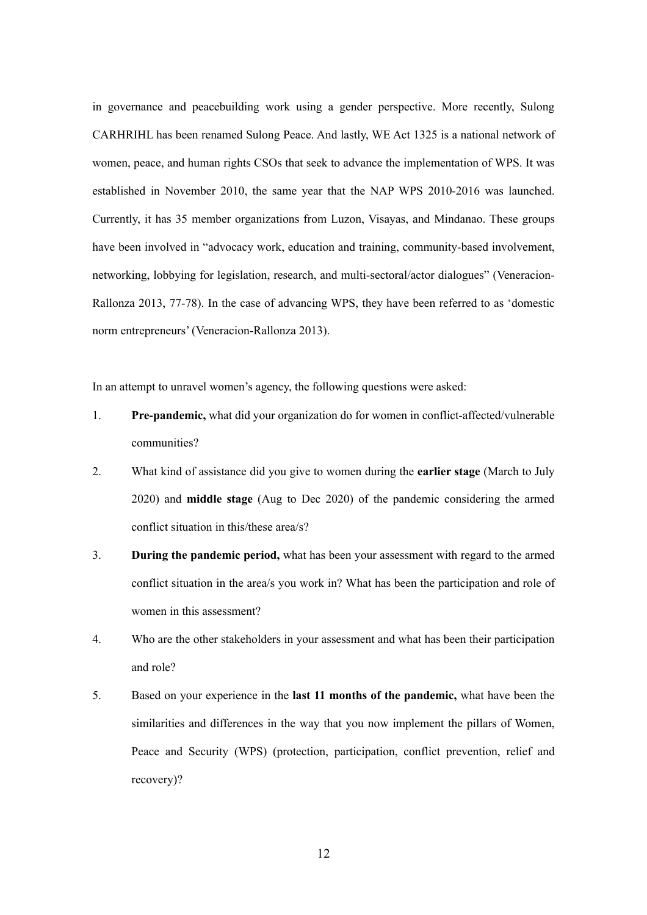in governance and peacebuilding work using a gender perspective. More recently, Sulong CARHRIHL has been renamed Sulong Peace. And lastly, WE Act 1325 is a national network of women, peace, and human rights CSOs that seek to advance the implementation of WPS. It was established in November 2010, the same year that the NAP WPS 2010-2016 was launched. Currently, it has 35 member organizations from Luzon, Visayas, and Mindanao. These groups have been involved in "advocacy work, education and training, community-based involvement, networking, lobbying for legislation, research, and multi-sectoral/actor dialogues" (Veneracion-Rallonza 2013, 77-78). In the case of advancing WPS, they have been referred to as 'domestic norm entrepreneurs' (Veneracion-Rallonza 2013).

In an attempt to unravel women's agency, the following questions were asked:

- 1. **Pre-pandemic,** what did your organization do for women in conflict-affected/vulnerable communities?
- 2. What kind of assistance did you give to women during the **earlier stage** (March to July 2020) and **middle stage** (Aug to Dec 2020) of the pandemic considering the armed conflict situation in this/these area/s?
- 3. **During the pandemic period,** what has been your assessment with regard to the armed conflict situation in the area/s you work in? What has been the participation and role of women in this assessment?
- 4. Who are the other stakeholders in your assessment and what has been their participation and role?
- 5. Based on your experience in the **last 11 months of the pandemic,** what have been the similarities and differences in the way that you now implement the pillars of Women, Peace and Security (WPS) (protection, participation, conflict prevention, relief and recovery)?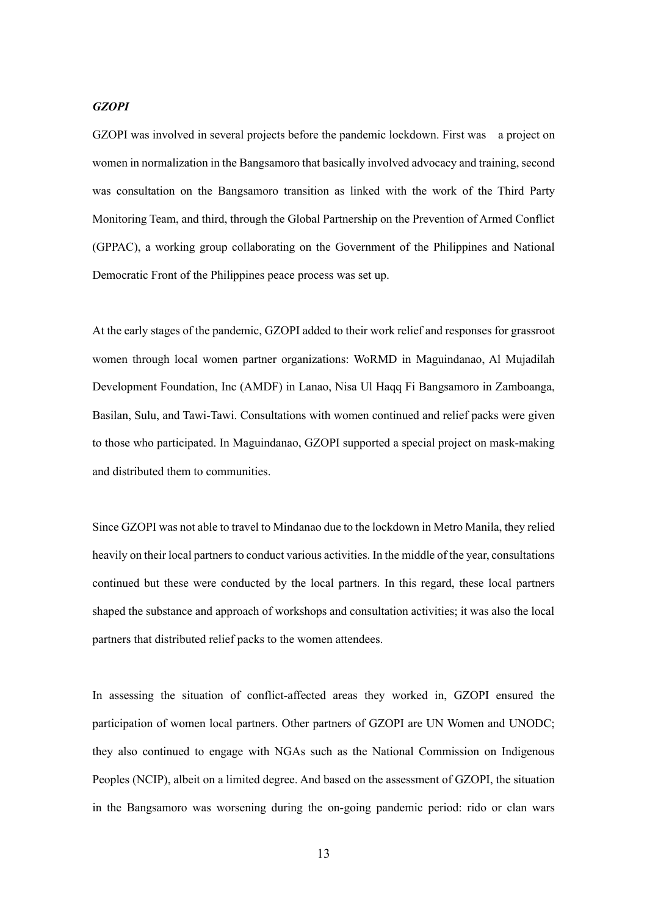## *GZOPI*

GZOPI was involved in several projects before the pandemic lockdown. First was a project on women in normalization in the Bangsamoro that basically involved advocacy and training, second was consultation on the Bangsamoro transition as linked with the work of the Third Party Monitoring Team, and third, through the Global Partnership on the Prevention of Armed Conflict (GPPAC), a working group collaborating on the Government of the Philippines and National Democratic Front of the Philippines peace process was set up.

At the early stages of the pandemic, GZOPI added to their work relief and responses for grassroot women through local women partner organizations: WoRMD in Maguindanao, Al Mujadilah Development Foundation, Inc (AMDF) in Lanao, Nisa Ul Haqq Fi Bangsamoro in Zamboanga, Basilan, Sulu, and Tawi-Tawi. Consultations with women continued and relief packs were given to those who participated. In Maguindanao, GZOPI supported a special project on mask-making and distributed them to communities.

Since GZOPI was not able to travel to Mindanao due to the lockdown in Metro Manila, they relied heavily on their local partners to conduct various activities. In the middle of the year, consultations continued but these were conducted by the local partners. In this regard, these local partners shaped the substance and approach of workshops and consultation activities; it was also the local partners that distributed relief packs to the women attendees.

In assessing the situation of conflict-affected areas they worked in, GZOPI ensured the participation of women local partners. Other partners of GZOPI are UN Women and UNODC; they also continued to engage with NGAs such as the National Commission on Indigenous Peoples (NCIP), albeit on a limited degree. And based on the assessment of GZOPI, the situation in the Bangsamoro was worsening during the on-going pandemic period: rido or clan wars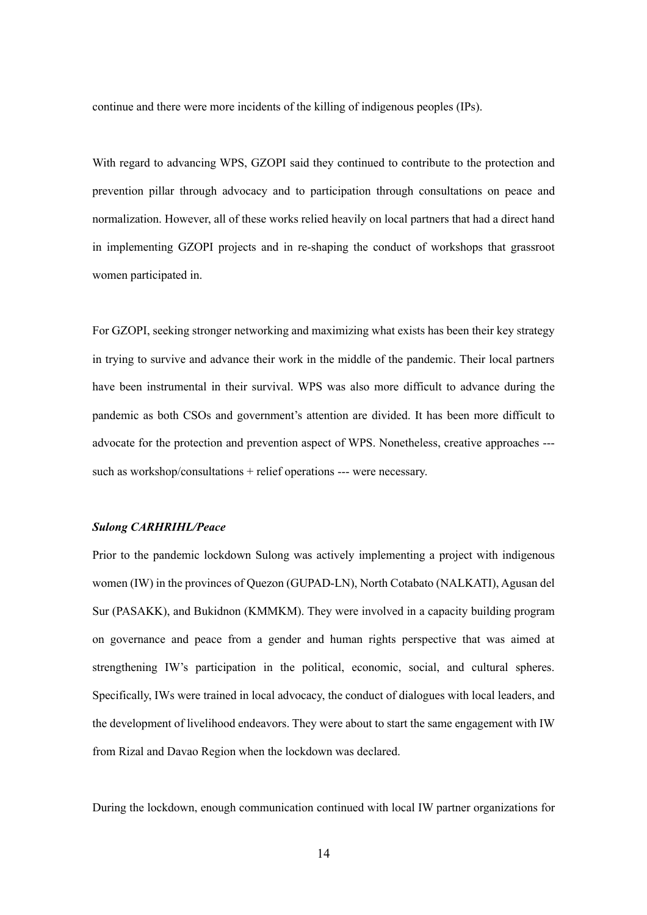continue and there were more incidents of the killing of indigenous peoples (IPs).

With regard to advancing WPS, GZOPI said they continued to contribute to the protection and prevention pillar through advocacy and to participation through consultations on peace and normalization. However, all of these works relied heavily on local partners that had a direct hand in implementing GZOPI projects and in re-shaping the conduct of workshops that grassroot women participated in.

For GZOPI, seeking stronger networking and maximizing what exists has been their key strategy in trying to survive and advance their work in the middle of the pandemic. Their local partners have been instrumental in their survival. WPS was also more difficult to advance during the pandemic as both CSOs and government's attention are divided. It has been more difficult to advocate for the protection and prevention aspect of WPS. Nonetheless, creative approaches -- such as workshop/consultations + relief operations --- were necessary.

## *Sulong CARHRIHL/Peace*

Prior to the pandemic lockdown Sulong was actively implementing a project with indigenous women (IW) in the provinces of Quezon (GUPAD-LN), North Cotabato (NALKATI), Agusan del Sur (PASAKK), and Bukidnon (KMMKM). They were involved in a capacity building program on governance and peace from a gender and human rights perspective that was aimed at strengthening IW's participation in the political, economic, social, and cultural spheres. Specifically, IWs were trained in local advocacy, the conduct of dialogues with local leaders, and the development of livelihood endeavors. They were about to start the same engagement with IW from Rizal and Davao Region when the lockdown was declared.

During the lockdown, enough communication continued with local IW partner organizations for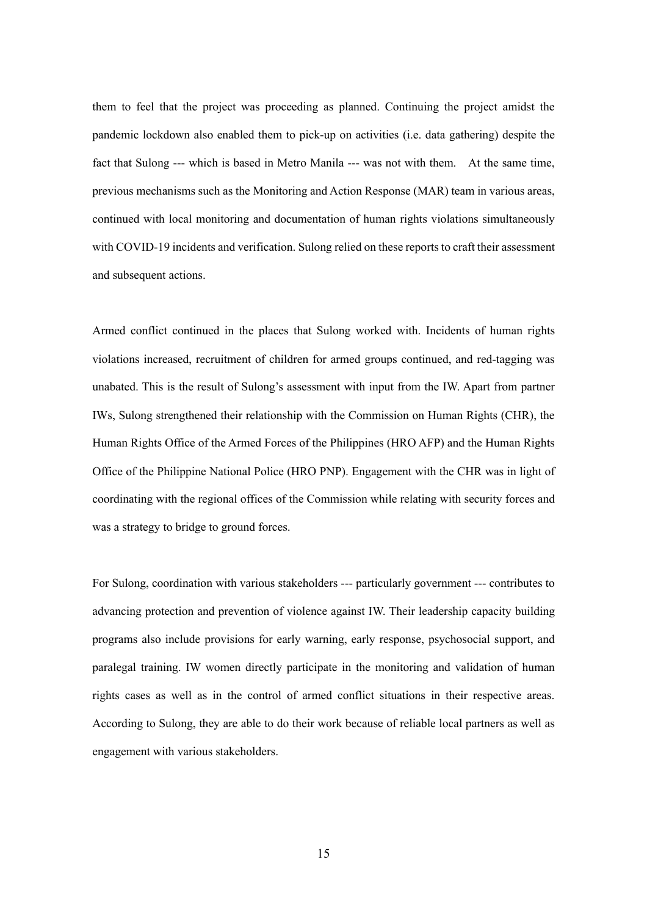them to feel that the project was proceeding as planned. Continuing the project amidst the pandemic lockdown also enabled them to pick-up on activities (i.e. data gathering) despite the fact that Sulong --- which is based in Metro Manila --- was not with them. At the same time, previous mechanisms such as the Monitoring and Action Response (MAR) team in various areas, continued with local monitoring and documentation of human rights violations simultaneously with COVID-19 incidents and verification. Sulong relied on these reports to craft their assessment and subsequent actions.

Armed conflict continued in the places that Sulong worked with. Incidents of human rights violations increased, recruitment of children for armed groups continued, and red-tagging was unabated. This is the result of Sulong's assessment with input from the IW. Apart from partner IWs, Sulong strengthened their relationship with the Commission on Human Rights (CHR), the Human Rights Office of the Armed Forces of the Philippines (HRO AFP) and the Human Rights Office of the Philippine National Police (HRO PNP). Engagement with the CHR was in light of coordinating with the regional offices of the Commission while relating with security forces and was a strategy to bridge to ground forces.

For Sulong, coordination with various stakeholders --- particularly government --- contributes to advancing protection and prevention of violence against IW. Their leadership capacity building programs also include provisions for early warning, early response, psychosocial support, and paralegal training. IW women directly participate in the monitoring and validation of human rights cases as well as in the control of armed conflict situations in their respective areas. According to Sulong, they are able to do their work because of reliable local partners as well as engagement with various stakeholders.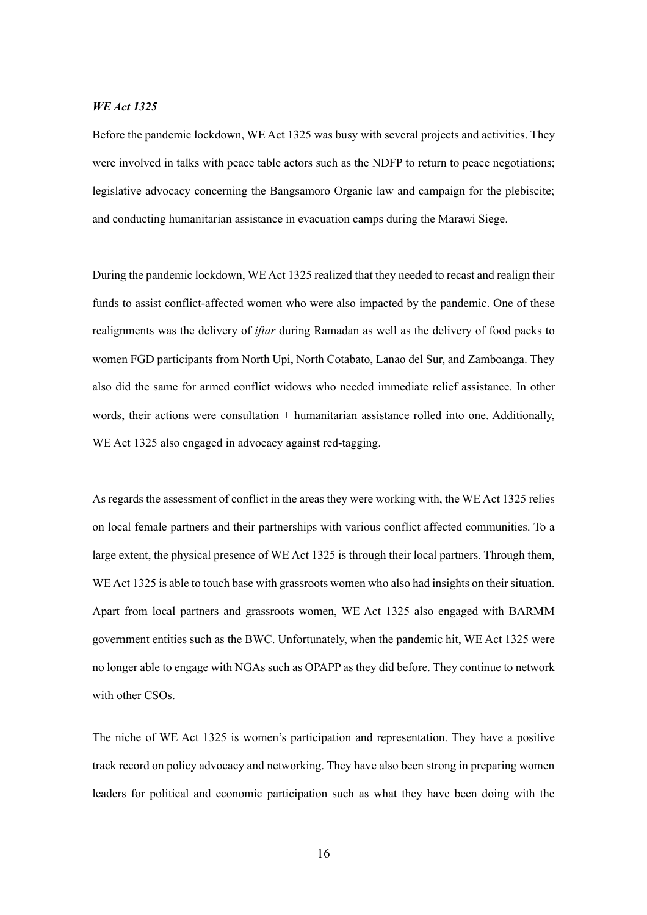## *WE Act 1325*

Before the pandemic lockdown, WE Act 1325 was busy with several projects and activities. They were involved in talks with peace table actors such as the NDFP to return to peace negotiations; legislative advocacy concerning the Bangsamoro Organic law and campaign for the plebiscite; and conducting humanitarian assistance in evacuation camps during the Marawi Siege.

During the pandemic lockdown, WE Act 1325 realized that they needed to recast and realign their funds to assist conflict-affected women who were also impacted by the pandemic. One of these realignments was the delivery of *iftar* during Ramadan as well as the delivery of food packs to women FGD participants from North Upi, North Cotabato, Lanao del Sur, and Zamboanga. They also did the same for armed conflict widows who needed immediate relief assistance. In other words, their actions were consultation + humanitarian assistance rolled into one. Additionally, WE Act 1325 also engaged in advocacy against red-tagging.

As regards the assessment of conflict in the areas they were working with, the WE Act 1325 relies on local female partners and their partnerships with various conflict affected communities. To a large extent, the physical presence of WE Act 1325 is through their local partners. Through them, WE Act 1325 is able to touch base with grassroots women who also had insights on their situation. Apart from local partners and grassroots women, WE Act 1325 also engaged with BARMM government entities such as the BWC. Unfortunately, when the pandemic hit, WE Act 1325 were no longer able to engage with NGAs such as OPAPP as they did before. They continue to network with other CSOs.

The niche of WE Act 1325 is women's participation and representation. They have a positive track record on policy advocacy and networking. They have also been strong in preparing women leaders for political and economic participation such as what they have been doing with the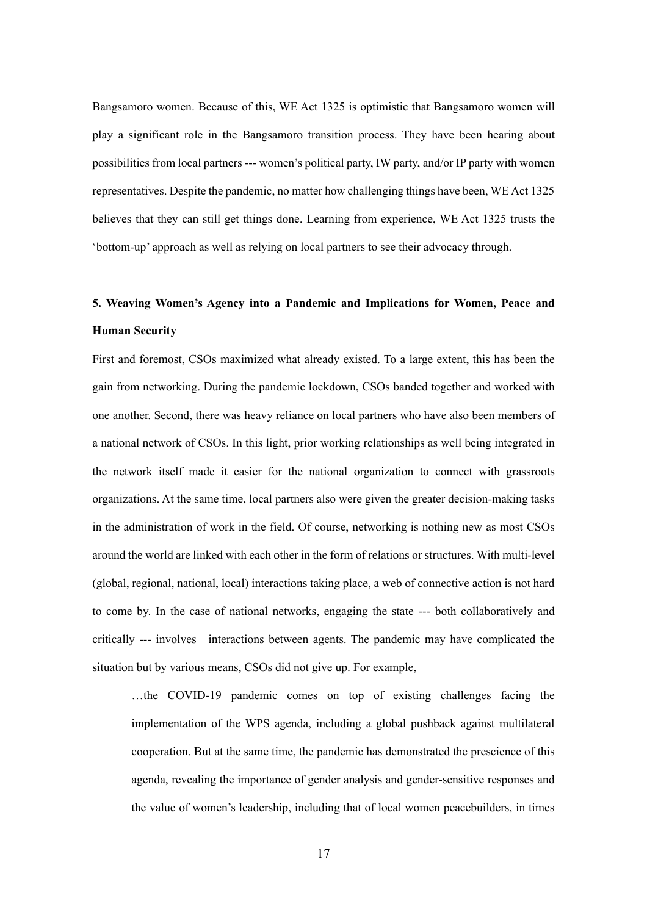Bangsamoro women. Because of this, WE Act 1325 is optimistic that Bangsamoro women will play a significant role in the Bangsamoro transition process. They have been hearing about possibilities from local partners --- women's political party, IW party, and/or IP party with women representatives. Despite the pandemic, no matter how challenging things have been, WE Act 1325 believes that they can still get things done. Learning from experience, WE Act 1325 trusts the 'bottom-up' approach as well as relying on local partners to see their advocacy through.

# **5. Weaving Women's Agency into a Pandemic and Implications for Women, Peace and Human Security**

First and foremost, CSOs maximized what already existed. To a large extent, this has been the gain from networking. During the pandemic lockdown, CSOs banded together and worked with one another. Second, there was heavy reliance on local partners who have also been members of a national network of CSOs. In this light, prior working relationships as well being integrated in the network itself made it easier for the national organization to connect with grassroots organizations. At the same time, local partners also were given the greater decision-making tasks in the administration of work in the field. Of course, networking is nothing new as most CSOs around the world are linked with each other in the form of relations or structures. With multi-level (global, regional, national, local) interactions taking place, a web of connective action is not hard to come by. In the case of national networks, engaging the state --- both collaboratively and critically --- involves interactions between agents. The pandemic may have complicated the situation but by various means, CSOs did not give up. For example,

…the COVID-19 pandemic comes on top of existing challenges facing the implementation of the WPS agenda, including a global pushback against multilateral cooperation. But at the same time, the pandemic has demonstrated the prescience of this agenda, revealing the importance of gender analysis and gender-sensitive responses and the value of women's leadership, including that of local women peacebuilders, in times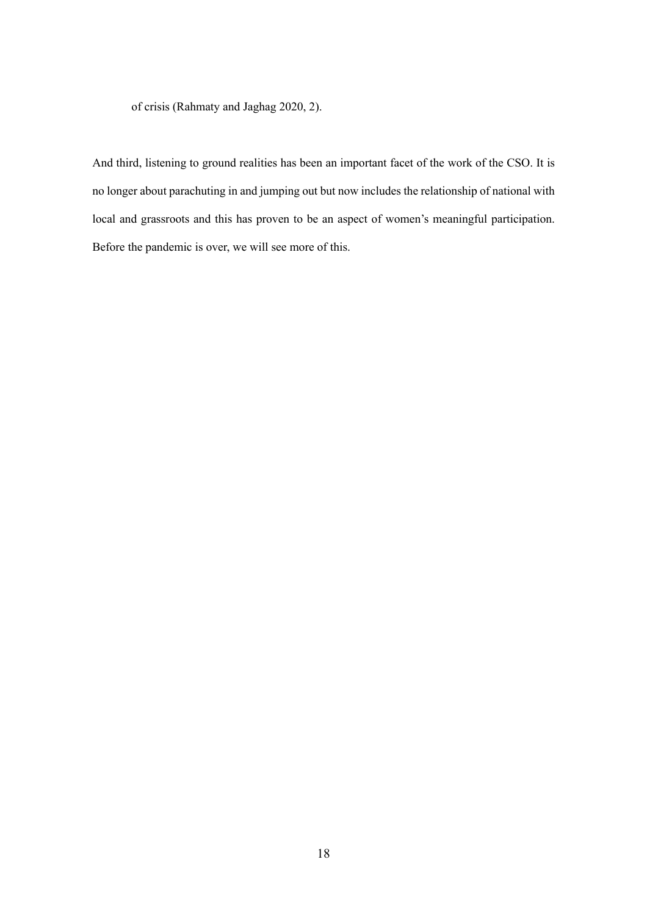of crisis (Rahmaty and Jaghag 2020, 2).

And third, listening to ground realities has been an important facet of the work of the CSO. It is no longer about parachuting in and jumping out but now includes the relationship of national with local and grassroots and this has proven to be an aspect of women's meaningful participation. Before the pandemic is over, we will see more of this.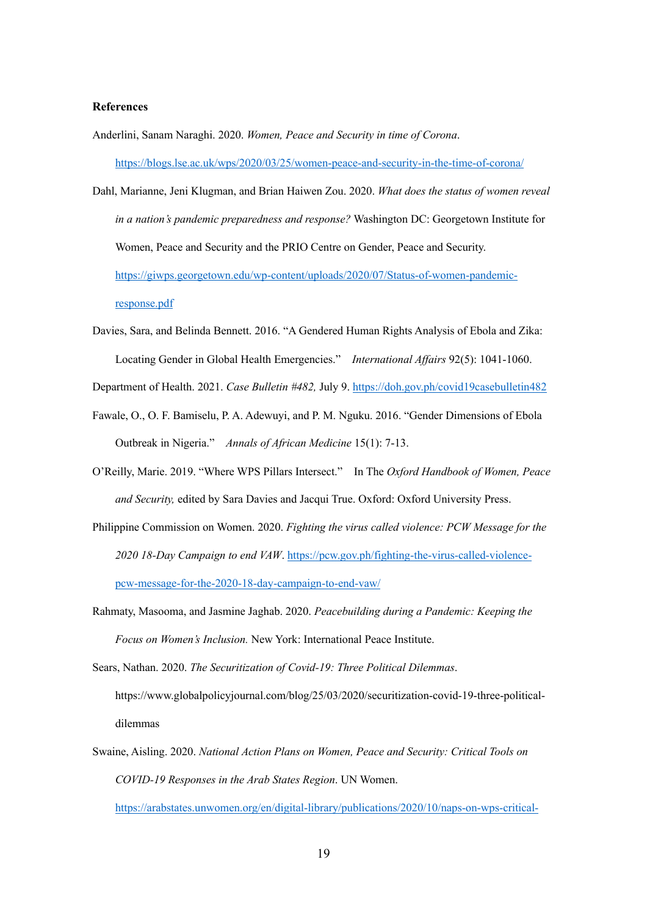## **References**

- Anderlini, Sanam Naraghi. 2020. *Women, Peace and Security in time of Corona*. https://blogs.lse.ac.uk/wps/2020/03/25/women-peace-and-security-in-the-time-of-corona/
- Dahl, Marianne, Jeni Klugman, and Brian Haiwen Zou. 2020. *What does the status of women reveal in a nation's pandemic preparedness and response?* Washington DC: Georgetown Institute for Women, Peace and Security and the PRIO Centre on Gender, Peace and Security. https://giwps.georgetown.edu/wp-content/uploads/2020/07/Status-of-women-pandemicresponse.pdf
- Davies, Sara, and Belinda Bennett. 2016. "A Gendered Human Rights Analysis of Ebola and Zika: Locating Gender in Global Health Emergencies." *International Affairs* 92(5): 1041-1060.

Department of Health. 2021. *Case Bulletin #482,* July 9. https://doh.gov.ph/covid19casebulletin482

- Fawale, O., O. F. Bamiselu, P. A. Adewuyi, and P. M. Nguku. 2016. "Gender Dimensions of Ebola Outbreak in Nigeria." *Annals of African Medicine* 15(1): 7-13.
- O'Reilly, Marie. 2019. "Where WPS Pillars Intersect." In The *Oxford Handbook of Women, Peace and Security,* edited by Sara Davies and Jacqui True. Oxford: Oxford University Press.
- Philippine Commission on Women. 2020. *Fighting the virus called violence: PCW Message for the 2020 18-Day Campaign to end VAW*. https://pcw.gov.ph/fighting-the-virus-called-violencepcw-message-for-the-2020-18-day-campaign-to-end-vaw/
- Rahmaty, Masooma, and Jasmine Jaghab. 2020. *Peacebuilding during a Pandemic: Keeping the Focus on Women's Inclusion.* New York: International Peace Institute.

Sears, Nathan. 2020. *The Securitization of Covid-19: Three Political Dilemmas*. https://www.globalpolicyjournal.com/blog/25/03/2020/securitization-covid-19-three-politicaldilemmas

Swaine, Aisling. 2020. *National Action Plans on Women, Peace and Security: Critical Tools on COVID-19 Responses in the Arab States Region*. UN Women. https://arabstates.unwomen.org/en/digital-library/publications/2020/10/naps-on-wps-critical